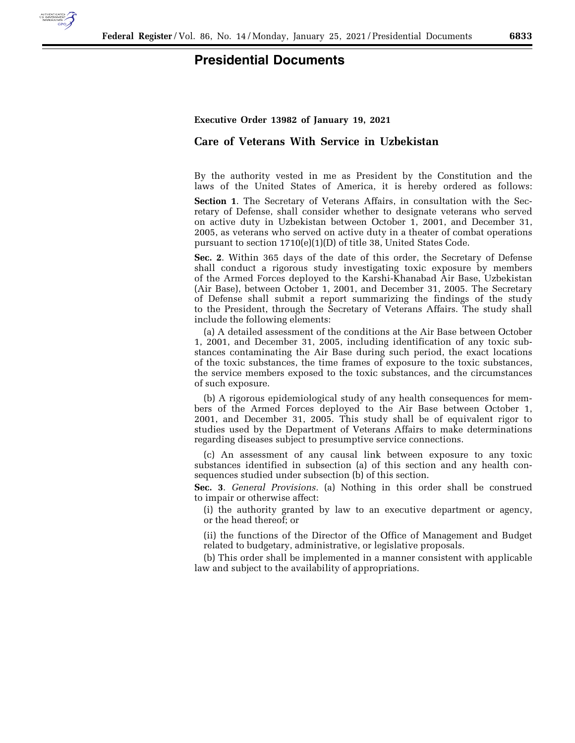

## **Presidential Documents**

## **Executive Order 13982 of January 19, 2021**

## **Care of Veterans With Service in Uzbekistan**

By the authority vested in me as President by the Constitution and the laws of the United States of America, it is hereby ordered as follows:

**Section 1**. The Secretary of Veterans Affairs, in consultation with the Secretary of Defense, shall consider whether to designate veterans who served on active duty in Uzbekistan between October 1, 2001, and December 31, 2005, as veterans who served on active duty in a theater of combat operations pursuant to section 1710(e)(1)(D) of title 38, United States Code.

**Sec. 2**. Within 365 days of the date of this order, the Secretary of Defense shall conduct a rigorous study investigating toxic exposure by members of the Armed Forces deployed to the Karshi-Khanabad Air Base, Uzbekistan (Air Base), between October 1, 2001, and December 31, 2005. The Secretary of Defense shall submit a report summarizing the findings of the study to the President, through the Secretary of Veterans Affairs. The study shall include the following elements:

(a) A detailed assessment of the conditions at the Air Base between October 1, 2001, and December 31, 2005, including identification of any toxic substances contaminating the Air Base during such period, the exact locations of the toxic substances, the time frames of exposure to the toxic substances, the service members exposed to the toxic substances, and the circumstances of such exposure.

(b) A rigorous epidemiological study of any health consequences for members of the Armed Forces deployed to the Air Base between October 1, 2001, and December 31, 2005. This study shall be of equivalent rigor to studies used by the Department of Veterans Affairs to make determinations regarding diseases subject to presumptive service connections.

(c) An assessment of any causal link between exposure to any toxic substances identified in subsection (a) of this section and any health consequences studied under subsection (b) of this section.

**Sec. 3**. *General Provisions.* (a) Nothing in this order shall be construed to impair or otherwise affect:

(i) the authority granted by law to an executive department or agency, or the head thereof; or

(ii) the functions of the Director of the Office of Management and Budget related to budgetary, administrative, or legislative proposals.

(b) This order shall be implemented in a manner consistent with applicable law and subject to the availability of appropriations.